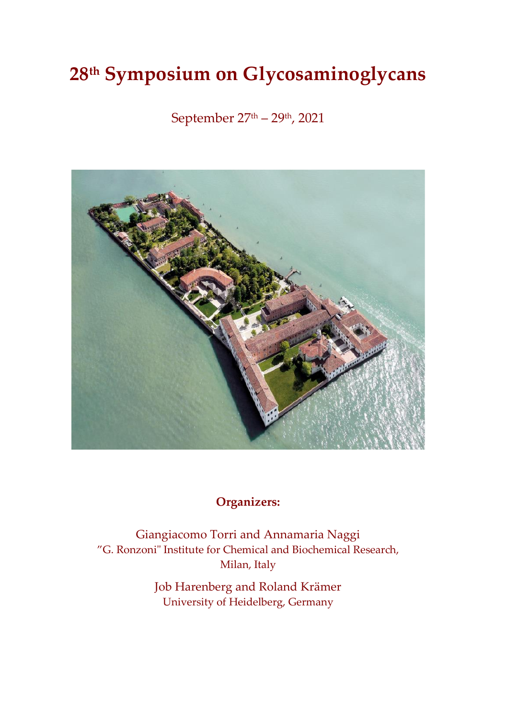# **28 th Symposium on Glycosaminoglycans**

September 27th – 29th , 2021



## **Organizers:**

Giangiacomo Torri and Annamaria Naggi "G. Ronzoni" Institute for Chemical and Biochemical Research, Milan, Italy

> Job Harenberg and Roland Krämer University of Heidelberg, Germany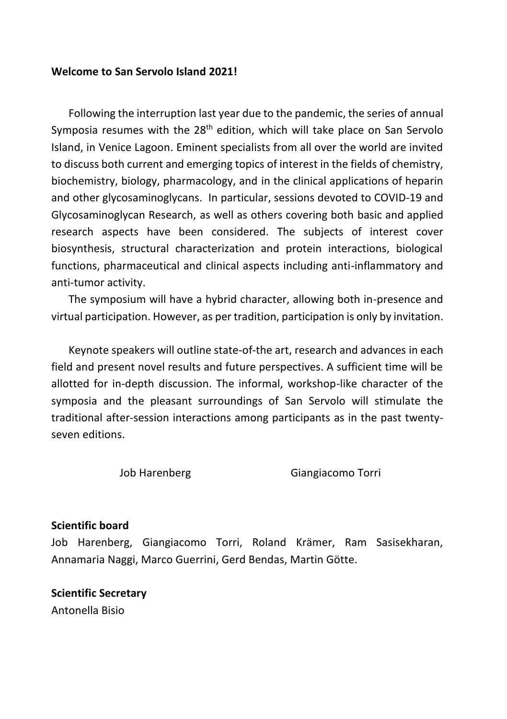#### **Welcome to San Servolo Island 2021!**

Following the interruption last year due to the pandemic, the series of annual Symposia resumes with the 28<sup>th</sup> edition, which will take place on San Servolo Island, in Venice Lagoon. Eminent specialists from all over the world are invited to discuss both current and emerging topics of interest in the fields of chemistry, biochemistry, biology, pharmacology, and in the clinical applications of heparin and other glycosaminoglycans. In particular, sessions devoted to COVID-19 and Glycosaminoglycan Research, as well as others covering both basic and applied research aspects have been considered. The subjects of interest cover biosynthesis, structural characterization and protein interactions, biological functions, pharmaceutical and clinical aspects including anti-inflammatory and anti-tumor activity.

The symposium will have a hybrid character, allowing both in-presence and virtual participation. However, as per tradition, participation is only by invitation.

Keynote speakers will outline state-of-the art, research and advances in each field and present novel results and future perspectives. A sufficient time will be allotted for in-depth discussion. The informal, workshop-like character of the symposia and the pleasant surroundings of San Servolo will stimulate the traditional after-session interactions among participants as in the past twentyseven editions.

Job Harenberg Giangiacomo Torri

#### **Scientific board**

Job Harenberg, Giangiacomo Torri, Roland Krämer, Ram Sasisekharan, Annamaria Naggi, Marco Guerrini, Gerd Bendas, Martin Götte.

**Scientific Secretary** Antonella Bisio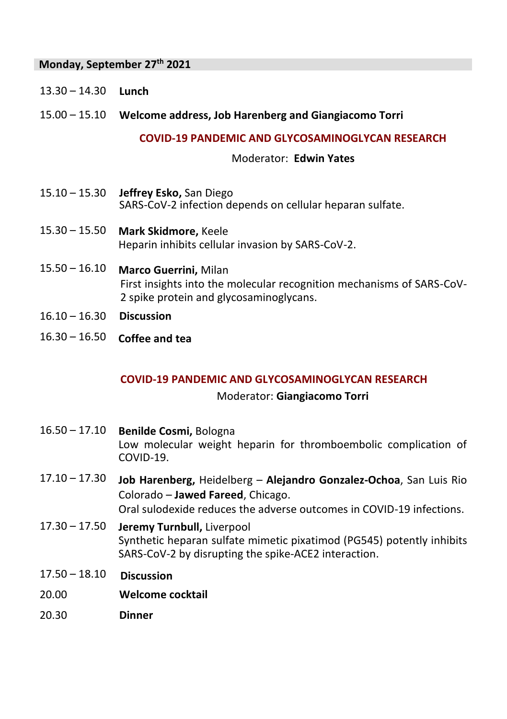## **Monday, September 27 th 2021**

13.30 – 14.30 **Lunch** 

## 15.00 – 15.10 **Welcome address, Job Harenberg and Giangiacomo Torri**

#### **COVID-19 PANDEMIC AND GLYCOSAMINOGLYCAN RESEARCH**

#### Moderator: **Edwin Yates**

- 15.10 15.30 **Jeffrey Esko,** San Diego SARS-CoV-2 infection depends on cellular heparan sulfate.
- 15.30 15.50 **Mark Skidmore,** Keele Heparin inhibits cellular invasion by SARS-CoV-2.
- 15.50 16.10 **Marco Guerrini,** Milan First insights into the molecular recognition mechanisms of SARS-CoV-2 spike protein and glycosaminoglycans.
- 16.10 16.30 **Discussion**
- 16.30 16.50 **Coffee and tea**

#### **COVID-19 PANDEMIC AND GLYCOSAMINOGLYCAN RESEARCH**

#### Moderator: **Giangiacomo Torri**

- 16.50 17.10 **Benilde Cosmi,** Bologna Low molecular weight heparin for thromboembolic complication of COVID-19.
- 17.10 17.30 **Job Harenberg,** Heidelberg **Alejandro Gonzalez-Ochoa**, San Luis Rio Colorado – **Jawed Fareed**, Chicago. Oral sulodexide reduces the adverse outcomes in COVID-19 infections.
- 17.30 17.50 **Jeremy Turnbull,** Liverpool Synthetic heparan sulfate mimetic pixatimod (PG545) potently inhibits
	- SARS-CoV-2 by disrupting the spike-ACE2 interaction.
- 17.50 18.10 **Discussion**
- 20.00 **Welcome cocktail**
- 20.30 **Dinner**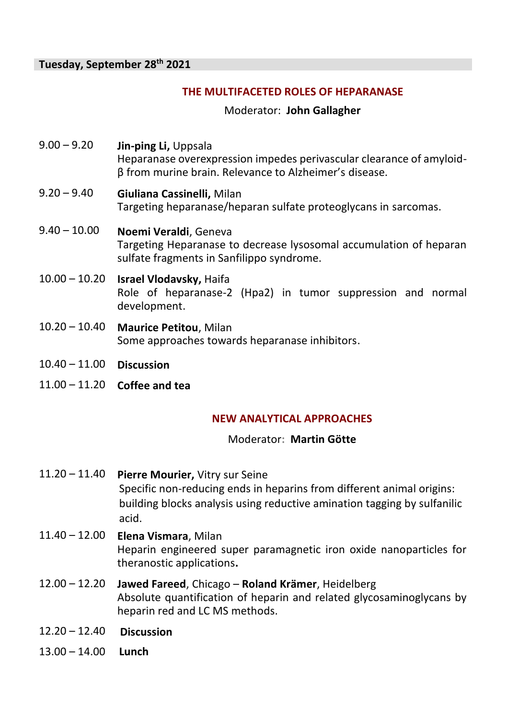## **THE MULTIFACETED ROLES OF HEPARANASE**

Moderator: **John Gallagher**

- 9.00 9.20 **Jin-ping Li,** Uppsala Heparanase overexpression impedes perivascular clearance of amyloidβ from murine brain. Relevance to Alzheimer's disease.
- 9.20 9.40 **Giuliana Cassinelli,** Milan Targeting heparanase/heparan sulfate proteoglycans in sarcomas.
- 9.40 10.00 **Noemi Veraldi**, Geneva Targeting Heparanase to decrease lysosomal accumulation of heparan sulfate fragments in Sanfilippo syndrome.
- 10.00 10.20 **Israel Vlodavsky,** Haifa Role of heparanase-2 (Hpa2) in tumor suppression and normal development.
- 10.20 10.40 **Maurice Petitou**, Milan Some approaches towards heparanase inhibitors.
- 10.40 11.00 **Discussion**
- 11.00 11.20 **Coffee and tea**

## **NEW ANALYTICAL APPROACHES**

Moderator**: Martin Götte**

- 11.20 11.40 **Pierre Mourier,** Vitry sur Seine Specific non-reducing ends in heparins from different animal origins: building blocks analysis using reductive amination tagging by sulfanilic acid.
- 11.40 12.00 **Elena Vismara**, Milan Heparin engineered super paramagnetic iron oxide nanoparticles for theranostic applications**.**
- 12.00 12.20 **Jawed Fareed**, Chicago **Roland Krämer**, Heidelberg Absolute quantification of heparin and related glycosaminoglycans by heparin red and LC MS methods.
- 12.20 12.40 **Discussion**
- 13.00 14.00 **Lunch**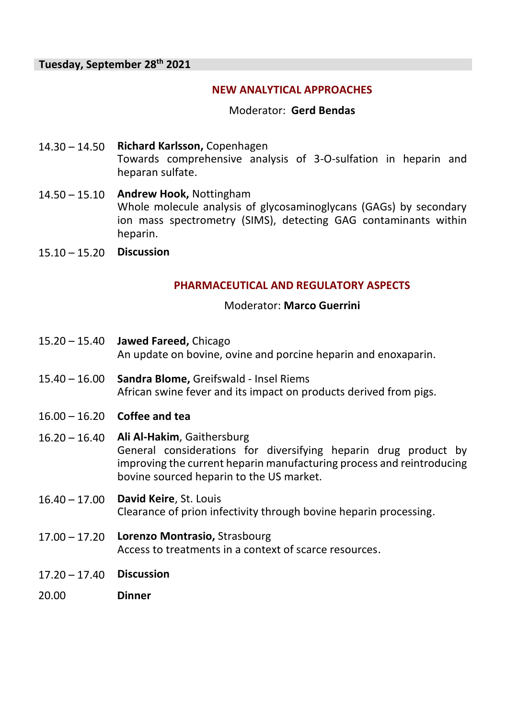## **NEW ANALYTICAL APPROACHES**

#### Moderator: **Gerd Bendas**

- 14.30 14.50 **Richard Karlsson,** Copenhagen Towards comprehensive analysis of 3-O-sulfation in heparin and heparan sulfate.
- 14.50 15.10 **Andrew Hook,** Nottingham Whole molecule analysis of glycosaminoglycans (GAGs) by secondary ion mass spectrometry (SIMS), detecting GAG contaminants within heparin.
- 15.10 15.20 **Discussion**

## **PHARMACEUTICAL AND REGULATORY ASPECTS**

#### Moderator: **Marco Guerrini**

- 15.20 15.40 **Jawed Fareed,** Chicago An update on bovine, ovine and porcine heparin and enoxaparin.
- 15.40 16.00 **Sandra Blome,** Greifswald ‐ Insel Riems African swine fever and its impact on products derived from pigs.
- 16.00 16.20 **Coffee and tea**
- 16.20 16.40 **Ali Al-Hakim**, Gaithersburg General considerations for diversifying heparin drug product by improving the current heparin manufacturing process and reintroducing bovine sourced heparin to the US market.
- 16.40 17.00 **David Keire**, St. Louis Clearance of prion infectivity through bovine heparin processing.
- 17.00 17.20 **Lorenzo Montrasio,** Strasbourg Access to treatments in a context of scarce resources.
- 17.20 17.40 **Discussion**
- 20.00 **Dinner**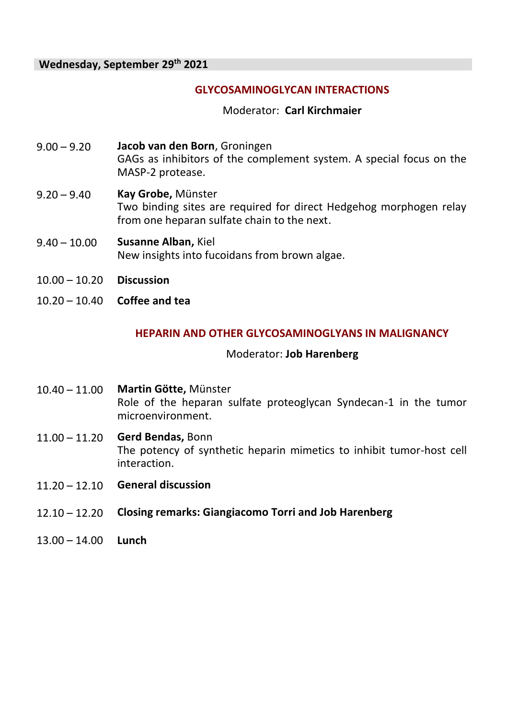## **GLYCOSAMINOGLYCAN INTERACTIONS**

#### Moderator: **Carl Kirchmaier**

- 9.00 9.20 **Jacob van den Born**, Groningen GAGs as inhibitors of the complement system. A special focus on the MASP-2 protease.
- 9.20 9.40 **Kay Grobe,** Münster Two binding sites are required for direct Hedgehog morphogen relay from one heparan sulfate chain to the next.
- 9.40 10.00 **Susanne Alban,** Kiel New insights into fucoidans from brown algae.
- 10.00 10.20 **Discussion**
- 10.20 10.40 **Coffee and tea**

## **HEPARIN AND OTHER GLYCOSAMINOGLYANS IN MALIGNANCY**

#### Moderator: **Job Harenberg**

- 10.40 11.00 **Martin Götte,** Münster Role of the heparan sulfate proteoglycan Syndecan-1 in the tumor microenvironment.
- 11.00 11.20 **Gerd Bendas,** Bonn The potency of synthetic heparin mimetics to inhibit tumor-host cell interaction.
- 11.20 12.10 **General discussion**
- 12.10 12.20 **Closing remarks: Giangiacomo Torri and Job Harenberg**
- 13.00 14.00 **Lunch**